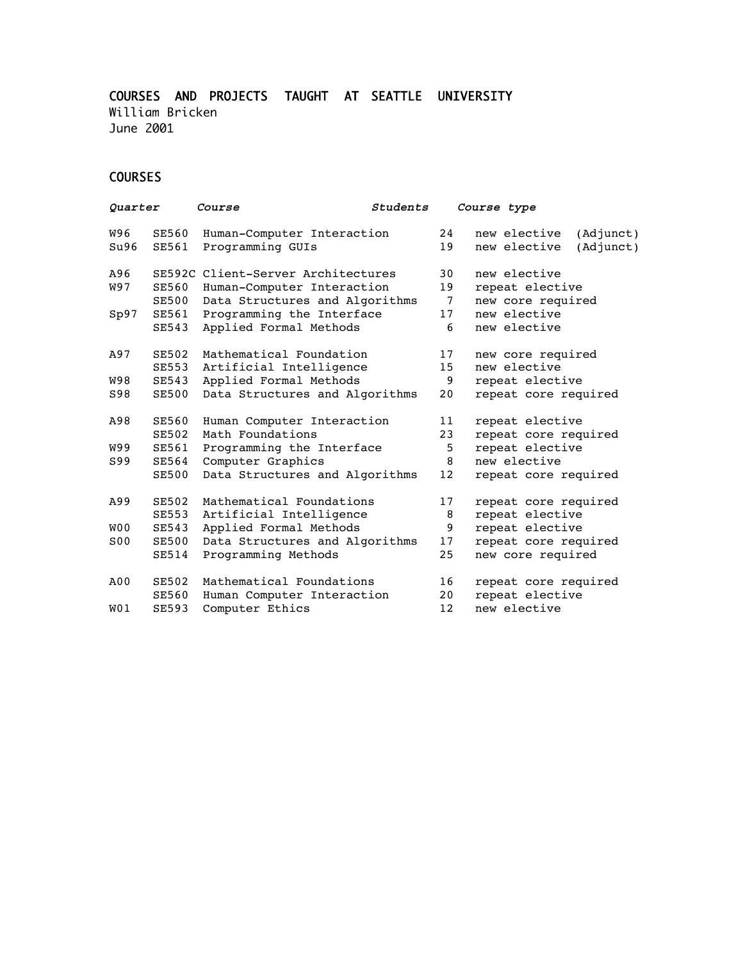COURSES AND PROJECTS TAUGHT AT SEATTLE UNIVERSITY William Bricken June 2001

## COURSES

| Quarter          |              | Students<br><i>Course</i>          |         | Course type                  |           |
|------------------|--------------|------------------------------------|---------|------------------------------|-----------|
| W96              | <b>SE560</b> | Human-Computer Interaction         | 24      | new elective                 | (Adjunct) |
| Su96             | <b>SE561</b> | Programming GUIs                   | 19      | new elective                 | (Adjunct) |
| A96              |              | SE592C Client-Server Architectures | 30      | new elective                 |           |
| W97              | <b>SE560</b> | Human-Computer Interaction         | 19      | repeat elective              |           |
|                  | <b>SE500</b> | Data Structures and Algorithms     | 7       | new core required            |           |
| Sp97             | SE561        | Programming the Interface          | 17<br>6 | new elective<br>new elective |           |
|                  | <b>SE543</b> | Applied Formal Methods             |         |                              |           |
| A97              | <b>SE502</b> | Mathematical Foundation            | 17      | new core required            |           |
|                  | <b>SE553</b> | Artificial Intelligence            | 15      | new elective                 |           |
| W98              | <b>SE543</b> | Applied Formal Methods             | 9       | repeat elective              |           |
| S98              | <b>SE500</b> | Data Structures and Algorithms     | 20      | repeat core required         |           |
| A98              | <b>SE560</b> | Human Computer Interaction         | 11      | repeat elective              |           |
|                  | <b>SE502</b> | Math Foundations                   | 23      | repeat core required         |           |
| <b>W99</b>       | <b>SE561</b> | Programming the Interface          | 5       | repeat elective              |           |
| S99              | <b>SE564</b> | Computer Graphics                  | 8       | new elective                 |           |
|                  | <b>SE500</b> | Data Structures and Algorithms     | 12      | repeat core required         |           |
| A99              | <b>SE502</b> | Mathematical Foundations           | 17      | repeat core required         |           |
|                  | <b>SE553</b> | Artificial Intelligence            | 8       | repeat elective              |           |
| W <sub>0</sub>   | <b>SE543</b> | Applied Formal Methods             | 9       | repeat elective              |           |
| S <sub>0</sub>   | <b>SE500</b> | Data Structures and Algorithms     | 17      | repeat core required         |           |
|                  | <b>SE514</b> | Programming Methods                | 25      | new core required            |           |
| A00              | <b>SE502</b> | Mathematical Foundations           | 16      | repeat core required         |           |
|                  | SE560        | Human Computer Interaction         | 20      | repeat elective              |           |
| W <sub>0</sub> 1 | <b>SE593</b> | Computer Ethics                    | 12      | new elective                 |           |
|                  |              |                                    |         |                              |           |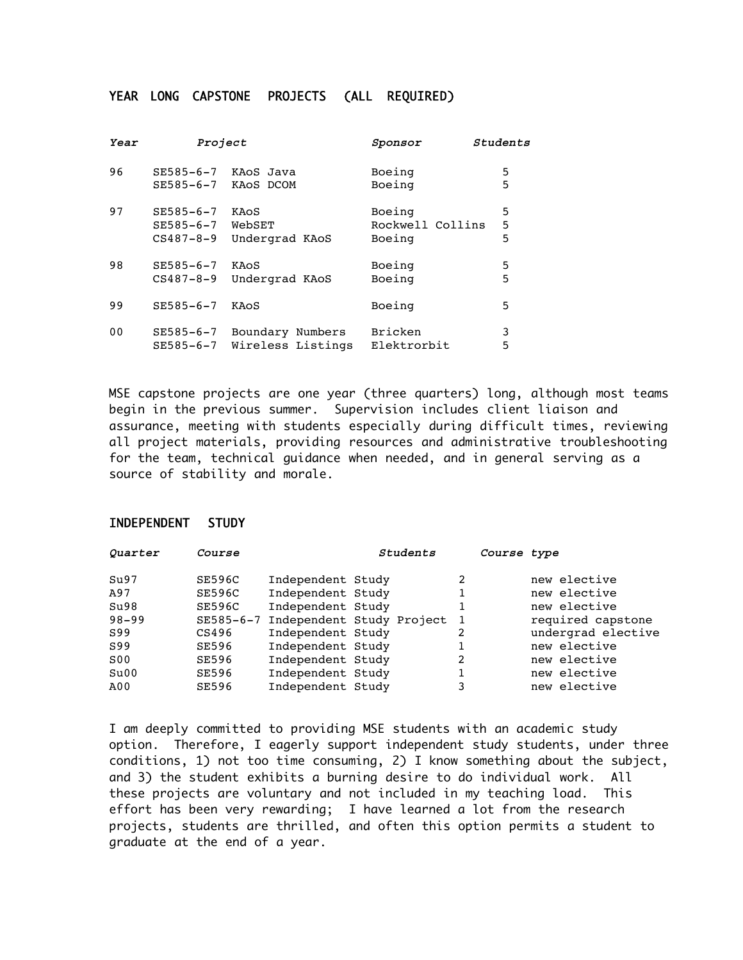## YEAR LONG CAPSTONE PROJECTS (ALL REQUIRED)

| Year           | Project         |                   | Students<br>Sponsor |   |
|----------------|-----------------|-------------------|---------------------|---|
| 96             | SE585-6-7       | KAOS Java         | Boeing              | 5 |
|                | SE585-6-7       | KAOS DCOM         | Boeing              | 5 |
| 97             | $SE585 - 6 - 7$ | KAOS              | Boeing              | 5 |
|                | SE585-6-7       | WebSET            | Rockwell Collins    | 5 |
|                | $CS487 - 8 - 9$ | Undergrad KAoS    | Boeing              | 5 |
| 98             | $SE585 - 6 - 7$ | KAOS              | Boeing              | 5 |
|                | $CS487 - 8 - 9$ | Undergrad KAoS    | Boeing              | 5 |
| 99             | $SE585 - 6 - 7$ | KAOS              | Boeing              | 5 |
| 0 <sub>0</sub> | SE585-6-7       | Boundary Numbers  | <b>Bricken</b>      | 3 |
|                | SE585-6-7       | Wireless Listings | Elektrorbit         | 5 |

MSE capstone projects are one year (three quarters) long, although most teams begin in the previous summer. Supervision includes client liaison and assurance, meeting with students especially during difficult times, reviewing all project materials, providing resources and administrative troubleshooting for the team, technical guidance when needed, and in general serving as a source of stability and morale.

## INDEPENDENT STUDY

| Quarter         | Course |                   | Students                            | Course type    |                    |
|-----------------|--------|-------------------|-------------------------------------|----------------|--------------------|
| Su97            | SE596C | Independent Study |                                     | 2              | new elective       |
| A97             | SE596C | Independent Study |                                     |                | new elective       |
| Su98            | SE596C | Independent Study |                                     |                | new elective       |
| $98 - 99$       |        |                   | SE585-6-7 Independent Study Project | $\overline{1}$ | required capstone  |
| S99             | CS496  | Independent Study |                                     |                | undergrad elective |
| S99             | SE596  | Independent Study |                                     |                | new elective       |
| S <sub>00</sub> | SE596  | Independent Study |                                     | 2              | new elective       |
| Su00            | SE596  | Independent Study |                                     |                | new elective       |
| A00             | SE596  | Independent Study |                                     | 3              | new elective       |

I am deeply committed to providing MSE students with an academic study option. Therefore, I eagerly support independent study students, under three conditions, 1) not too time consuming, 2) I know something about the subject, and 3) the student exhibits a burning desire to do individual work. All these projects are voluntary and not included in my teaching load. This effort has been very rewarding; I have learned a lot from the research projects, students are thrilled, and often this option permits a student to graduate at the end of a year.